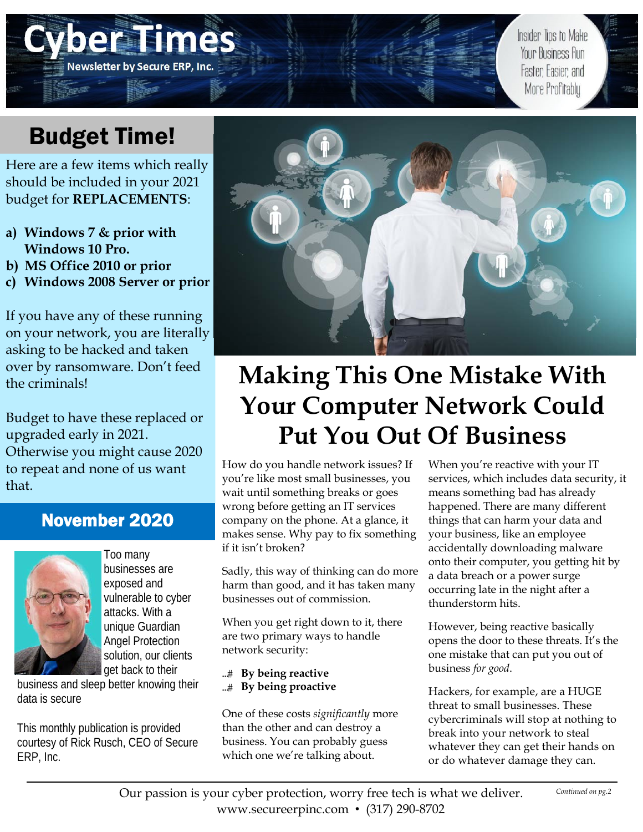# Budget Time!

Here I

Newsletter by Secure ERP, Inc.

Here are a few items which really should be included in your 2021 budget for **REPLACEMENTS**:

- **a) Windows 7 & prior with Windows 10 Pro.**
- **b) MS Office 2010 or prior**
- **c) Windows 2008 Server or prior**

If you have any of these running on your network, you are literally asking to be hacked and taken over by ransomware. Don't feed the criminals!

Budget to have these replaced or upgraded early in 2021. Otherwise you might cause 2020 to repeat and none of us want that.

## November 2020



Too many businesses are exposed and vulnerable to cyber attacks. With a unique Guardian Angel Protection solution, our clients get back to their

business and sleep better knowing their data is secure

This monthly publication is provided courtesy of Rick Rusch, CEO of Secure ERP, Inc.



# **Making This One Mistake With Your Computer Network Could Put You Out Of Business**

How do you handle network issues? If you're like most small businesses, you wait until something breaks or goes wrong before getting an IT services company on the phone. At a glance, it makes sense. Why pay to fix something if it isn't broken?

Sadly, this way of thinking can do more harm than good, and it has taken many businesses out of commission.

When you get right down to it, there are two primary ways to handle network security:

- **By being reactive**
- **By being proactive**

One of these costs *significantly* more than the other and can destroy a business. You can probably guess which one we're talking about.

When you're reactive with your IT services, which includes data security, it means something bad has already happened. There are many different things that can harm your data and your business, like an employee accidentally downloading malware onto their computer, you getting hit by a data breach or a power surge occurring late in the night after a thunderstorm hits.

Insider Tips to Make

Your Business Run

Faster Fasier and More Profitably

However, being reactive basically opens the door to these threats. It's the one mistake that can put you out of business *for good*.

Hackers, for example, are a HUGE threat to small businesses. These cybercriminals will stop at nothing to break into your network to steal whatever they can get their hands on or do whatever damage they can.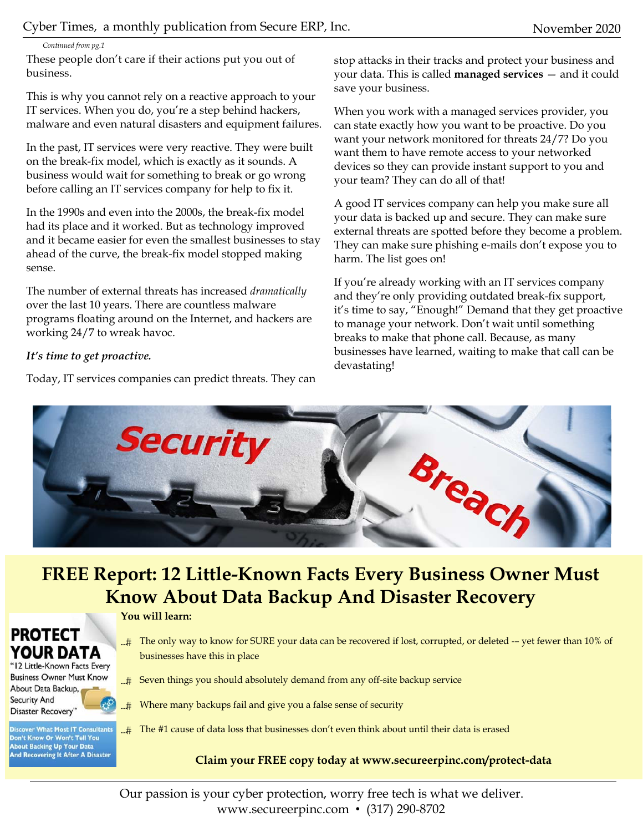*Continued from pg.1* 

These people don't care if their actions put you out of business.

This is why you cannot rely on a reactive approach to your IT services. When you do, you're a step behind hackers, malware and even natural disasters and equipment failures.

In the past, IT services were very reactive. They were built on the break-fix model, which is exactly as it sounds. A business would wait for something to break or go wrong before calling an IT services company for help to fix it.

In the 1990s and even into the 2000s, the break-fix model had its place and it worked. But as technology improved and it became easier for even the smallest businesses to stay ahead of the curve, the break-fix model stopped making sense.

The number of external threats has increased *dramatically* over the last 10 years. There are countless malware programs floating around on the Internet, and hackers are working 24/7 to wreak havoc.

### *It's time to get proactive.*

Today, IT services companies can predict threats. They can

stop attacks in their tracks and protect your business and your data. This is called **managed services** — and it could save your business.

When you work with a managed services provider, you can state exactly how you want to be proactive. Do you want your network monitored for threats 24/7? Do you want them to have remote access to your networked devices so they can provide instant support to you and your team? They can do all of that!

A good IT services company can help you make sure all your data is backed up and secure. They can make sure external threats are spotted before they become a problem. They can make sure phishing e-mails don't expose you to harm. The list goes on!

If you're already working with an IT services company and they're only providing outdated break-fix support, it's time to say, "Enough!" Demand that they get proactive to manage your network. Don't wait until something breaks to make that phone call. Because, as many businesses have learned, waiting to make that call can be devastating!



## **FREE Report: 12 Little-Known Facts Every Business Owner Must Know About Data Backup And Disaster Recovery**

### **You will learn:**

- The only way to know for SURE your data can be recovered if lost, corrupted, or deleted -– yet fewer than 10% of businesses have this in place
- ...# Seven things you should absolutely demand from any off-site backup service
- ...# Where many backups fail and give you a false sense of security

**Discover What Most IT Consultants** Don't Know Or Won't Tell You **About Backing Up Your Data And Recovering It After A Disaster** 

**PROTECT** 

YOUR DATA "12 Little-Known Facts Every **Business Owner Must Know** About Data Backup, **Security And Disaster Recovery'** 

 $\pm$  The #1 cause of data loss that businesses don't even think about until their data is erased

## **Claim your FREE copy today at www.secureerpinc.com/protect-data**

Our passion is your cyber protection, worry free tech is what we deliver. www.secureerpinc.com • (317) 290-8702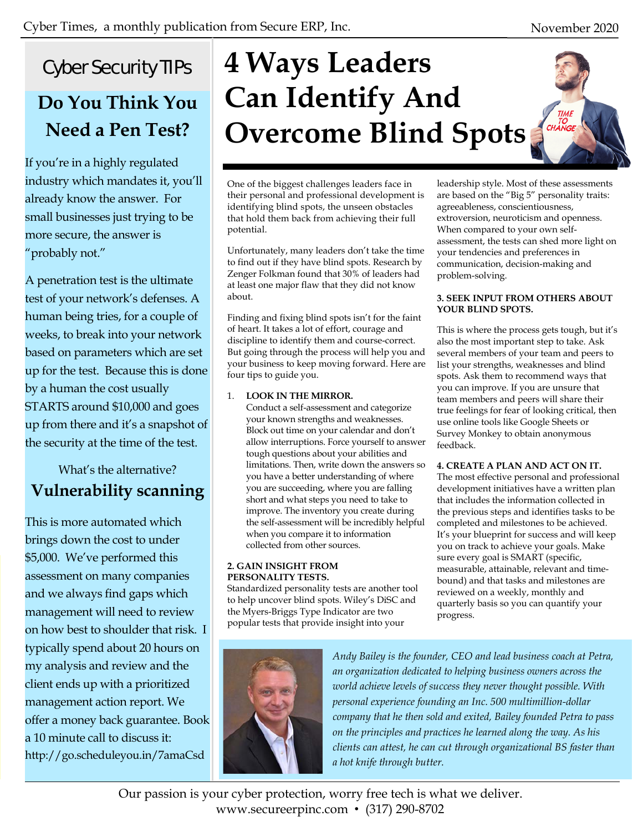TIME<br>TO<br>CHANGE

# Cyber Security TIPs

## **Do You Think You Need a Pen Test?**

If you're in a highly regulated industry which mandates it, you'll already know the answer. For small businesses just trying to be more secure, the answer is "probably not."

A penetration test is the ultimate test of your network's defenses. A human being tries, for a couple of weeks, to break into your network based on parameters which are set up for the test. Because this is done by a human the cost usually STARTS around \$10,000 and goes up from there and it's a snapshot of the security at the time of the test.

## What's the alternative? **Vulnerability scanning**

This is more automated which brings down the cost to under \$5,000. We've performed this assessment on many companies and we always find gaps which management will need to review on how best to shoulder that risk. I typically spend about 20 hours on my analysis and review and the client ends up with a prioritized management action report. We offer a money back guarantee. Book a 10 minute call to discuss it: http://go.scheduleyou.in/7amaCsd

# **4 Ways Leaders Can Identify And Overcome Blind Spots**

One of the biggest challenges leaders face in their personal and professional development is identifying blind spots, the unseen obstacles that hold them back from achieving their full potential.

Unfortunately, many leaders don't take the time to find out if they have blind spots. Research by Zenger Folkman found that 30% of leaders had at least one major flaw that they did not know about.

Finding and fixing blind spots isn't for the faint of heart. It takes a lot of effort, courage and discipline to identify them and course-correct. But going through the process will help you and your business to keep moving forward. Here are four tips to guide you.

### 1. **LOOK IN THE MIRROR.**

Conduct a self-assessment and categorize your known strengths and weaknesses. Block out time on your calendar and don't allow interruptions. Force yourself to answer tough questions about your abilities and limitations. Then, write down the answers so you have a better understanding of where you are succeeding, where you are falling short and what steps you need to take to improve. The inventory you create during the self-assessment will be incredibly helpful when you compare it to information collected from other sources.

#### **2. GAIN INSIGHT FROM PERSONALITY TESTS.**

Standardized personality tests are another tool to help uncover blind spots. Wiley's DiSC and the Myers-Briggs Type Indicator are two popular tests that provide insight into your



leadership style. Most of these assessments are based on the "Big 5" personality traits: agreeableness, conscientiousness, extroversion, neuroticism and openness. When compared to your own selfassessment, the tests can shed more light on your tendencies and preferences in communication, decision-making and problem-solving.

### **3. SEEK INPUT FROM OTHERS ABOUT YOUR BLIND SPOTS.**

This is where the process gets tough, but it's also the most important step to take. Ask several members of your team and peers to list your strengths, weaknesses and blind spots. Ask them to recommend ways that you can improve. If you are unsure that team members and peers will share their true feelings for fear of looking critical, then use online tools like Google Sheets or Survey Monkey to obtain anonymous feedback.

### **4. CREATE A PLAN AND ACT ON IT.**

The most effective personal and professional development initiatives have a written plan that includes the information collected in the previous steps and identifies tasks to be completed and milestones to be achieved. It's your blueprint for success and will keep you on track to achieve your goals. Make sure every goal is SMART (specific, measurable, attainable, relevant and timebound) and that tasks and milestones are reviewed on a weekly, monthly and quarterly basis so you can quantify your progress.

*Andy Bailey is the founder, CEO and lead business coach at Petra, an organization dedicated to helping business owners across the world achieve levels of success they never thought possible. With personal experience founding an Inc. 500 multimillion-dollar company that he then sold and exited, Bailey founded Petra to pass on the principles and practices he learned along the way. As his clients can attest, he can cut through organizational BS faster than a hot knife through butter.* 

Our passion is your cyber protection, worry free tech is what we deliver. www.secureerpinc.com • (317) 290-8702